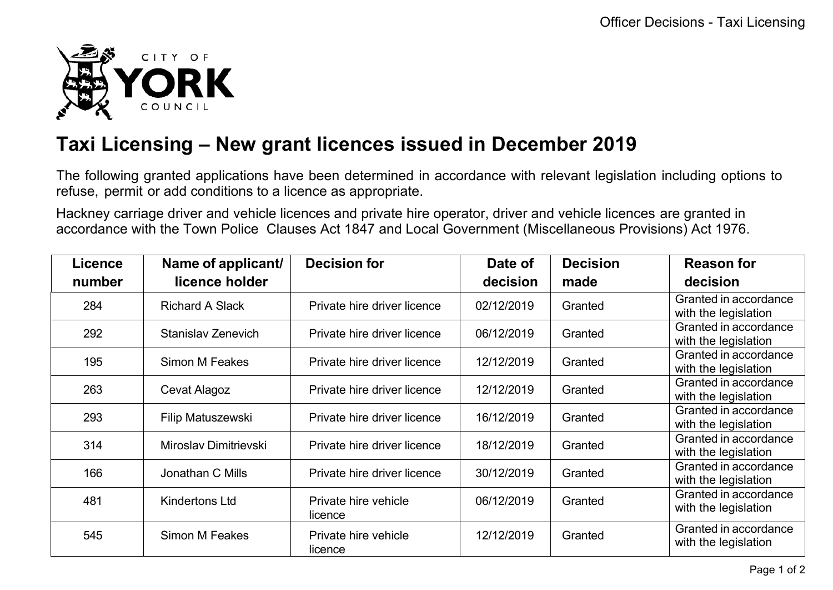

## **Taxi Licensing – New grant licences issued in December 2019**

The following granted applications have been determined in accordance with relevant legislation including options to refuse, permit or add conditions to a licence as appropriate.

Hackney carriage driver and vehicle licences and private hire operator, driver and vehicle licences are granted in accordance with the Town Police Clauses Act 1847 and Local Government (Miscellaneous Provisions) Act 1976.

| <b>Licence</b> | Name of applicant/        | <b>Decision for</b>             | Date of    | <b>Decision</b> | <b>Reason for</b>                             |
|----------------|---------------------------|---------------------------------|------------|-----------------|-----------------------------------------------|
| number         | licence holder            |                                 | decision   | made            | decision                                      |
| 284            | <b>Richard A Slack</b>    | Private hire driver licence     | 02/12/2019 | Granted         | Granted in accordance<br>with the legislation |
| 292            | <b>Stanislav Zenevich</b> | Private hire driver licence     | 06/12/2019 | Granted         | Granted in accordance<br>with the legislation |
| 195            | Simon M Feakes            | Private hire driver licence     | 12/12/2019 | Granted         | Granted in accordance<br>with the legislation |
| 263            | Cevat Alagoz              | Private hire driver licence     | 12/12/2019 | Granted         | Granted in accordance<br>with the legislation |
| 293            | Filip Matuszewski         | Private hire driver licence     | 16/12/2019 | Granted         | Granted in accordance<br>with the legislation |
| 314            | Miroslav Dimitrievski     | Private hire driver licence     | 18/12/2019 | Granted         | Granted in accordance<br>with the legislation |
| 166            | Jonathan C Mills          | Private hire driver licence     | 30/12/2019 | Granted         | Granted in accordance<br>with the legislation |
| 481            | <b>Kindertons Ltd</b>     | Private hire vehicle<br>licence | 06/12/2019 | Granted         | Granted in accordance<br>with the legislation |
| 545            | <b>Simon M Feakes</b>     | Private hire vehicle<br>licence | 12/12/2019 | Granted         | Granted in accordance<br>with the legislation |